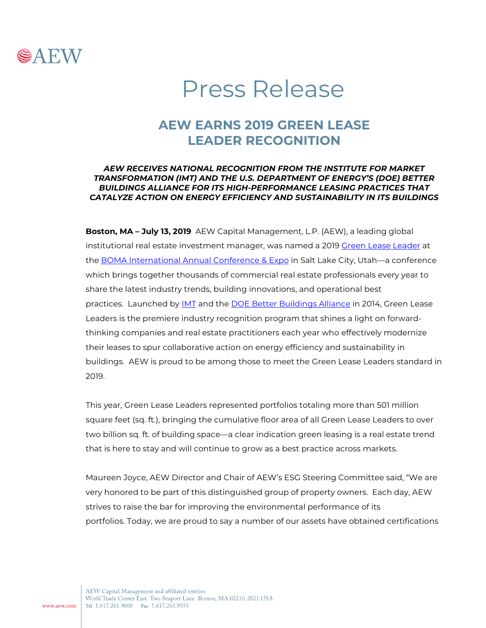

# Press Release

# **AEW EARNS 2019 GREEN LEASE LEADER RECOGNITION**

## *AEW RECEIVES NATIONAL RECOGNITION FROM THE INSTITUTE FOR MARKET TRANSFORMATION (IMT) AND THE U.S. DEPARTMENT OF ENERGY'S (DOE) BETTER BUILDINGS ALLIANCE FOR ITS HIGH-PERFORMANCE LEASING PRACTICES THAT CATALYZE ACTION ON ENERGY EFFICIENCY AND SUSTAINABILITY IN ITS BUILDINGS*

**Boston, MA – July 13, 2019** AEW Capital Management, L.P. (AEW), a leading global institutional real estate investment manager, was named a 2019 [Green Lease Leader](http://www.greenleaseleaders.com/) at the [BOMA International Annual Conference & Expo](https://www.bomaconvention.org/BOMA2019/Public/Enter.aspx) in Salt Lake City, Utah—a conference which brings together thousands of commercial real estate professionals every year to share the latest industry trends, building innovations, and operational best practices. Launched by **IMT** and the [DOE Better Buildings Alliance](https://betterbuildingsinitiative.energy.gov/alliance) in 2014, Green Lease Leaders is the premiere industry recognition program that shines a light on forwardthinking companies and real estate practitioners each year who effectively modernize their leases to spur collaborative action on energy efficiency and sustainability in buildings. AEW is proud to be among those to meet the Green Lease Leaders standard in 2019.

This year, Green Lease Leaders represented portfolios totaling more than 501 million square feet (sq. ft.), bringing the cumulative floor area of all Green Lease Leaders to over two billion sq. ft. of building space—a clear indication green leasing is a real estate trend that is here to stay and will continue to grow as a best practice across markets.

Maureen Joyce, AEW Director and Chair of AEW's ESG Steering Committee said, "We are very honored to be part of this distinguished group of property owners. Each day, AEW strives to raise the bar for improving the environmental performance of its portfolios. Today, we are proud to say a number of our assets have obtained certifications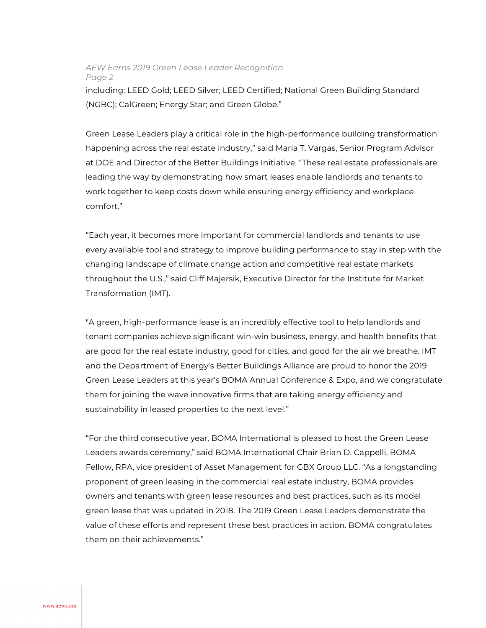### *AEW Earns 2019 Green Lease Leader Recognition Page 2*

including: LEED Gold; LEED Silver; LEED Certified; National Green Building Standard (NGBC); CalGreen; Energy Star; and Green Globe."

Green Lease Leaders play a critical role in the high-performance building transformation happening across the real estate industry," said Maria T. Vargas, Senior Program Advisor at DOE and Director of the Better Buildings Initiative. "These real estate professionals are leading the way by demonstrating how smart leases enable landlords and tenants to work together to keep costs down while ensuring energy efficiency and workplace comfort."

"Each year, it becomes more important for commercial landlords and tenants to use every available tool and strategy to improve building performance to stay in step with the changing landscape of climate change action and competitive real estate markets throughout the U.S.," said Cliff Majersik, Executive Director for the Institute for Market Transformation (IMT).

"A green, high-performance lease is an incredibly effective tool to help landlords and tenant companies achieve significant win-win business, energy, and health benefits that are good for the real estate industry, good for cities, and good for the air we breathe. IMT and the Department of Energy's Better Buildings Alliance are proud to honor the 2019 Green Lease Leaders at this year's BOMA Annual Conference & Expo, and we congratulate them for joining the wave innovative firms that are taking energy efficiency and sustainability in leased properties to the next level."

"For the third consecutive year, BOMA International is pleased to host the Green Lease Leaders awards ceremony," said BOMA International Chair Brian D. Cappelli, BOMA Fellow, RPA, vice president of Asset Management for GBX Group LLC. "As a longstanding proponent of green leasing in the commercial real estate industry, BOMA provides owners and tenants with green lease resources and best practices, such as its model green lease that was updated in 2018. The 2019 Green Lease Leaders demonstrate the value of these efforts and represent these best practices in action. BOMA congratulates them on their achievements."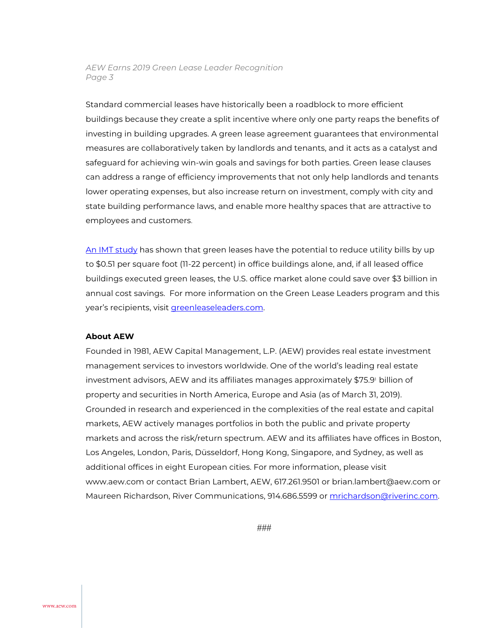### *AEW Earns 2019 Green Lease Leader Recognition Page 3*

Standard commercial leases have historically been a roadblock to more efficient buildings because they create a split incentive where only one party reaps the benefits of investing in building upgrades. A green lease agreement guarantees that environmental measures are collaboratively taken by landlords and tenants, and it acts as a catalyst and safeguard for achieving win-win goals and savings for both parties. Green lease clauses can address a range of efficiency improvements that not only help landlords and tenants lower operating expenses, but also increase return on investment, comply with city and state building performance laws, and enable more healthy spaces that are attractive to employees and customers.

[An IMT study](http://www.imt.org/resources/detail/green-lease-impact-report) has shown that green leases have the potential to reduce utility bills by up to \$0.51 per square foot (11-22 percent) in office buildings alone, and, if all leased office buildings executed green leases, the U.S. office market alone could save over \$3 billion in annual cost savings. For more information on the Green Lease Leaders program and this year's recipients, visit [greenleaseleaders.com.](http://www.greenleaseleaders.com/) 

#### **About AEW**

Founded in 1981, AEW Capital Management, L.P. (AEW) provides real estate investment management services to investors worldwide. One of the world's leading real estate investment advisors, AEW and its affiliates manages approximately \$75.9<sup>1</sup> billion of property and securities in North America, Europe and Asia (as of March 31, 2019). Grounded in research and experienced in the complexities of the real estate and capital markets, AEW actively manages portfolios in both the public and private property markets and across the risk/return spectrum. AEW and its affiliates have offices in Boston, Los Angeles, London, Paris, Düsseldorf, Hong Kong, Singapore, and Sydney, as well as additional offices in eight European cities. For more information, please visit www.aew.com or contact Brian Lambert, AEW, 617.261.9501 or brian.lambert@aew.com or Maureen Richardson, River Communications, 914.686.5599 or [mrichardson@riverinc.com.](mailto:mrichardson@riverinc.com)

###